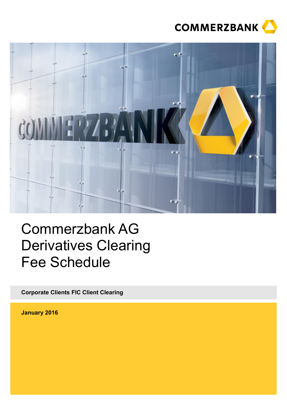



# Commerzbank AG Derivatives Clearing Fee Schedule

**Corporate Clients FIC Client Clearing**

**January 2016**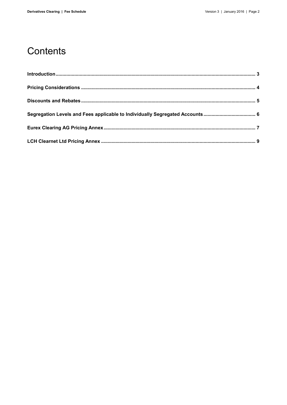### Contents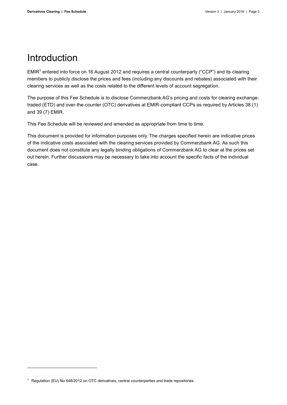### <span id="page-2-0"></span>Introduction

EMIR<sup>1</sup> entered into force on 16 August 2012 and requires a central counterparty ("CCP") and its clearing members to publicly disclose the prices and fees (including any discounts and rebates) associated with their clearing services as well as the costs related to the different levels of account segregation.

The purpose of this Fee Schedule is to disclose Commerzbank AG's pricing and costs for clearing exchangetraded (ETD) and over-the-counter (OTC) derivatives at EMIR-compliant CCPs as required by Articles 38 (1) and 39 (7) EMIR.

This Fee Schedule will be reviewed and amended as appropriate from time to time.

This document is provided for information purposes only. The charges specified herein are indicative prices of the indicative costs associated with the clearing services provided by Commerzbank AG. As such this document does not constitute any legally binding obligations of Commerzbank AG to clear at the prices set out herein. Further discussions may be necessary to take into account the specific facts of the individual case.

 $\overline{a}$ 

 $1$  Regulation (EU) No 648/2012 on OTC derivatives, central counterparties and trade repositories.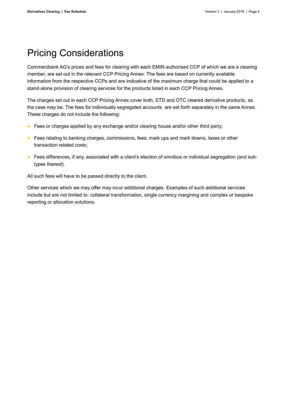### <span id="page-3-0"></span>Pricing Considerations

Commerzbank AG's prices and fees for clearing with each EMIR-authorised CCP of which we are a clearing member, are set out in the relevant CCP Pricing Annex. The fees are based on currently available information from the respective CCPs and are indicative of the maximum charge that could be applied to a stand-alone provision of clearing services for the products listed in each CCP Pricing Annex.

The charges set out in each CCP Pricing Annex cover both, ETD and OTC cleared derivative products, as the case may be. The fees for individually segregated accounts are set forth separately in the same Annex. These charges do not include the following:

- **•** Fees or charges applied by any exchange and/or clearing house and/or other third party;
- **•** Fees relating to banking charges, commissions, fees, mark ups and mark downs, taxes or other transaction related costs;
- Fees differences, if any, associated with a client's election of omnibus or individual segregation (and subtypes thereof).

All such fees will have to be passed directly to the client.

Other services which we may offer may incur additional charges. Examples of such additional services include but are not limited to: collateral transformation, single currency margining and complex or bespoke reporting or allocation solutions.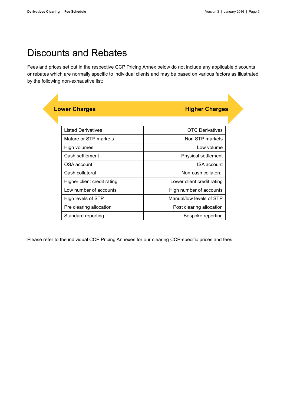### <span id="page-4-0"></span>Discounts and Rebates

Fees and prices set out in the respective CCP Pricing Annex below do not include any applicable discounts or rebates which are normally specific to individual clients and may be based on various factors as illustrated by the following non-exhaustive list:

| <b>Lower Charges</b> | <b>Higher Charges</b> |
|----------------------|-----------------------|
|                      |                       |

| <b>Listed Derivatives</b>   | <b>OTC</b> Derivatives     |
|-----------------------------|----------------------------|
| Mature or STP markets       | Non STP markets            |
| High volumes                | Low volume                 |
| Cash settlement             | Physical settlement        |
| OSA account                 | ISA account                |
| Cash collateral             | Non-cash collateral        |
| Higher client credit rating | Lower client credit rating |
| Low number of accounts      | High number of accounts    |
| High levels of STP          | Manual/low levels of STP   |
| Pre clearing allocation     | Post clearing allocation   |
| Standard reporting          | Bespoke reporting          |

Please refer to the individual CCP Pricing Annexes for our clearing CCP-specific prices and fees.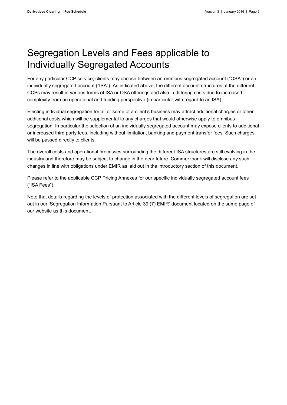### <span id="page-5-0"></span>Segregation Levels and Fees applicable to Individually Segregated Accounts

For any particular CCP service, clients may choose between an omnibus segregated account ("OSA") or an individually segregated account ("ISA"). As indicated above, the different account structures at the different CCPs may result in various forms of ISA or OSA offerings and also in differing costs due to increased complexity from an operational and funding perspective (in particular with regard to an ISA).

Electing individual segregation for all or some of a client's business may attract additional charges or other additional costs which will be supplemental to any charges that would otherwise apply to omnibus segregation. In particular the selection of an individually segregated account may expose clients to additional or increased third party fees, including without limitation, banking and payment transfer fees. Such charges will be passed directly to clients.

The overall costs and operational processes surrounding the different ISA structures are still evolving in the industry and therefore may be subject to change in the near future. Commerzbank will disclose any such changes in line with obligations under EMIR as laid out in the introductory section of this document.

Please refer to the applicable CCP Pricing Annexes for our specific individually segregated account fees ("ISA Fees").

Note that details regarding the levels of protection associated with the different levels of segregation are set out in our 'Segregation Information Pursuant to Article 39 (7) EMIR' document located on the same page of our website as this document.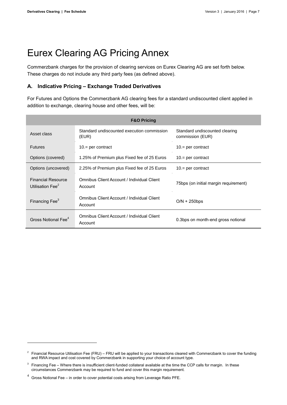## <span id="page-6-0"></span>Eurex Clearing AG Pricing Annex

Commerzbank charges for the provision of clearing services on Eurex Clearing AG are set forth below. These charges do not include any third party fees (as defined above).

### **A. Indicative Pricing – Exchange Traded Derivatives**

For Futures and Options the Commerzbank AG clearing fees for a standard undiscounted client applied in addition to exchange, clearing house and other fees, will be:

| <b>F&amp;O Pricing</b>                                    |                                                       |                                                    |  |  |
|-----------------------------------------------------------|-------------------------------------------------------|----------------------------------------------------|--|--|
| Asset class                                               | Standard undiscounted execution commission<br>(EUR)   | Standard undiscounted clearing<br>commission (EUR) |  |  |
| <b>Futures</b>                                            | $10 =$ per contract                                   | $10 =$ per contract                                |  |  |
| Options (covered)                                         | 1.25% of Premium plus Fixed fee of 25 Euros           | $10 =$ per contract                                |  |  |
| Options (uncovered)                                       | 2.25% of Premium plus Fixed fee of 25 Euros           | $10 =$ per contract                                |  |  |
| <b>Financial Resource</b><br>Utilisation Fee <sup>2</sup> | Omnibus Client Account / Individual Client<br>Account | 75bps (on initial margin requirement)              |  |  |
| Financing Fee <sup>3</sup>                                | Omnibus Client Account / Individual Client<br>Account | $O/N + 250$ bps                                    |  |  |
| Gross Notional Fee <sup>4</sup>                           | Omnibus Client Account / Individual Client<br>Account | 0.3bps on month-end gross notional                 |  |  |

-

<sup>&</sup>lt;sup>2</sup> Financial Resource Utilisation Fee (FRU) – FRU will be applied to your transactions cleared with Commerzbank to cover the funding and RWA impact and cost covered by Commerzbank in supporting your choice of account type.

<sup>3</sup> Financing Fee – Where there is insufficient client-funded collateral available at the time the CCP calls for margin. In these circumstances Commerzbank may be required to fund and cover this margin requirement.

<sup>4</sup> Gross Notional Fee – in order to cover potential costs arising from Leverage Ratio PFE.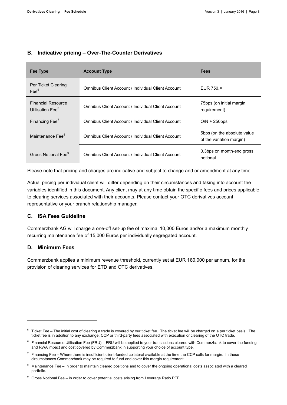### **B. Indicative pricing – Over-The-Counter Derivatives**

| Fee Type                                                  | <b>Account Type</b>                                | <b>Fees</b>                                              |
|-----------------------------------------------------------|----------------------------------------------------|----------------------------------------------------------|
| Per Ticket Clearing<br>$\text{Fe}^5$                      | Omnibus Client Account / Individual Client Account | EUR $750 =$                                              |
| <b>Financial Resource</b><br>Utilisation Fee <sup>6</sup> | Omnibus Client Account / Individual Client Account | 75bps (on initial margin)<br>requirement)                |
| Financing Fee <sup>7</sup>                                | Omnibus Client Account / Individual Client Account | $O/N + 250$ bps                                          |
| Maintenance Fee <sup>8</sup>                              | Omnibus Client Account / Individual Client Account | 5bps (on the absolute value)<br>of the variation margin) |
| Gross Notional Fee <sup>9</sup>                           | Omnibus Client Account / Individual Client Account | 0.3bps on month-end gross<br>notional                    |

Please note that pricing and charges are indicative and subject to change and or amendment at any time.

Actual pricing per individual client will differ depending on their circumstances and taking into account the variables identified in this document. Any client may at any time obtain the specific fees and prices applicable to clearing services associated with their accounts. Please contact your OTC derivatives account representative or your branch relationship manager.

#### **C. ISA Fees Guideline**

Commerzbank AG will charge a one-off set-up fee of maximal 10,000 Euros and/or a maximum monthly recurring maintenance fee of 15,000 Euros per individually segregated account.

#### **D. Minimum Fees**

-

Commerzbank applies a minimum revenue threshold, currently set at EUR 180,000 per annum, for the provision of clearing services for ETD and OTC derivatives.

<sup>5</sup> Ticket Fee – The initial cost of clearing a trade is covered by our ticket fee. The ticket fee will be charged on a per ticket basis. The ticket fee is in addition to any exchange, CCP or third-party fees associated with execution or clearing of the OTC trade.

 $6$  Financial Resource Utilisation Fee (FRU) – FRU will be applied to your transactions cleared with Commerzbank to cover the funding and RWA impact and cost covered by Commerzbank in supporting your choice of account type.

 $^7$  Financing Fee – Where there is insufficient client-funded collateral available at the time the CCP calls for margin. In these circumstances Commerzbank may be required to fund and cover this margin requirement.

Maintenance Fee – In order to maintain cleared positions and to cover the ongoing operational costs associated with a cleared portfolio.

<sup>9</sup> Gross Notional Fee – in order to cover potential costs arising from Leverage Ratio PFE.